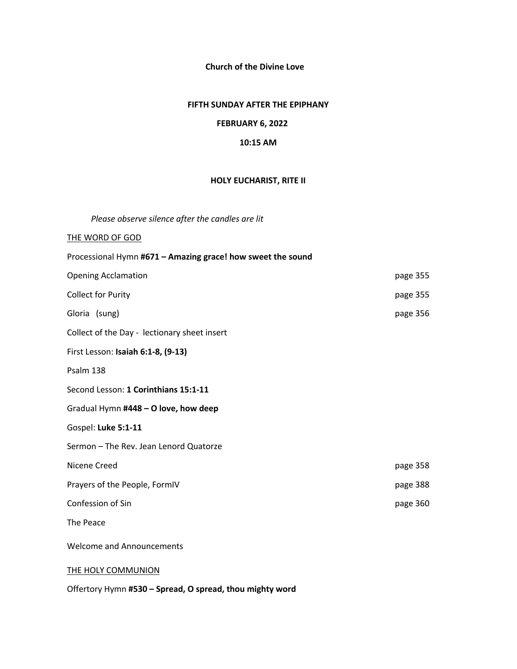**Church of the Divine Love**

#### **FIFTH SUNDAY AFTER THE EPIPHANY**

## **FEBRUARY 6, 2022**

#### **10:15 AM**

#### **HOLY EUCHARIST, RITE II**

*Please observe silence after the candles are lit* 

#### THE WORD OF GOD

| Processional Hymn #671 - Amazing grace! how sweet the sound |          |
|-------------------------------------------------------------|----------|
| <b>Opening Acclamation</b>                                  | page 355 |
| <b>Collect for Purity</b>                                   | page 355 |
| Gloria (sung)                                               | page 356 |
| Collect of the Day - lectionary sheet insert                |          |
| First Lesson: Isaiah 6:1-8, (9-13)                          |          |
| Psalm 138                                                   |          |
| Second Lesson: 1 Corinthians 15:1-11                        |          |
| Gradual Hymn #448 - O love, how deep                        |          |
| Gospel: Luke 5:1-11                                         |          |
| Sermon - The Rev. Jean Lenord Quatorze                      |          |
| Nicene Creed                                                | page 358 |
| Prayers of the People, FormIV                               | page 388 |
| Confession of Sin                                           | page 360 |
| The Peace                                                   |          |
| <b>Welcome and Announcements</b>                            |          |
| <b>THE HOLY COMMUNION</b>                                   |          |

Offertory Hymn **#530 – Spread, O spread, thou mighty word**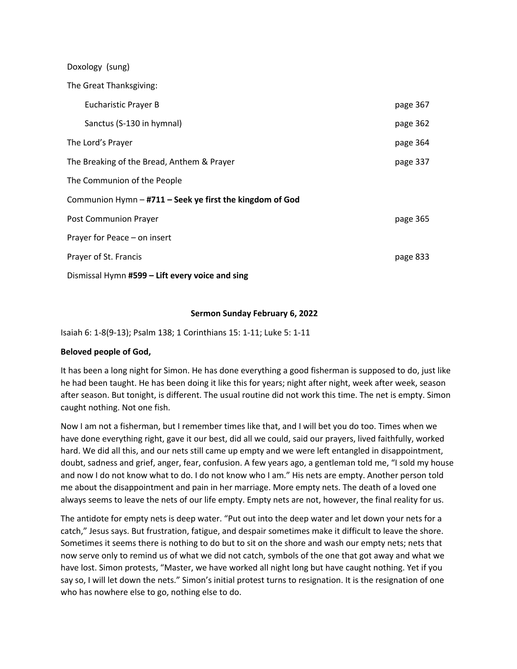| Doxology (sung)                                          |          |
|----------------------------------------------------------|----------|
| The Great Thanksgiving:                                  |          |
| <b>Eucharistic Prayer B</b>                              | page 367 |
| Sanctus (S-130 in hymnal)                                | page 362 |
| The Lord's Prayer                                        | page 364 |
| The Breaking of the Bread, Anthem & Prayer               | page 337 |
| The Communion of the People                              |          |
| Communion Hymn - #711 - Seek ye first the kingdom of God |          |
| Post Communion Prayer                                    | page 365 |
| Prayer for Peace – on insert                             |          |
| Prayer of St. Francis                                    | page 833 |
| Dismissal Hymn #599 - Lift every voice and sing          |          |

## **Sermon Sunday February 6, 2022**

Isaiah 6: 1-8(9-13); Psalm 138; 1 Corinthians 15: 1-11; Luke 5: 1-11

## **Beloved people of God,**

It has been a long night for Simon. He has done everything a good fisherman is supposed to do, just like he had been taught. He has been doing it like this for years; night after night, week after week, season after season. But tonight, is different. The usual routine did not work this time. The net is empty. Simon caught nothing. Not one fish.

Now I am not a fisherman, but I remember times like that, and I will bet you do too. Times when we have done everything right, gave it our best, did all we could, said our prayers, lived faithfully, worked hard. We did all this, and our nets still came up empty and we were left entangled in disappointment, doubt, sadness and grief, anger, fear, confusion. A few years ago, a gentleman told me, "I sold my house and now I do not know what to do. I do not know who I am." His nets are empty. Another person told me about the disappointment and pain in her marriage. More empty nets. The death of a loved one always seems to leave the nets of our life empty. Empty nets are not, however, the final reality for us.

The antidote for empty nets is deep water. "Put out into the deep water and let down your nets for a catch," Jesus says. But frustration, fatigue, and despair sometimes make it difficult to leave the shore. Sometimes it seems there is nothing to do but to sit on the shore and wash our empty nets; nets that now serve only to remind us of what we did not catch, symbols of the one that got away and what we have lost. Simon protests, "Master, we have worked all night long but have caught nothing. Yet if you say so, I will let down the nets." Simon's initial protest turns to resignation. It is the resignation of one who has nowhere else to go, nothing else to do.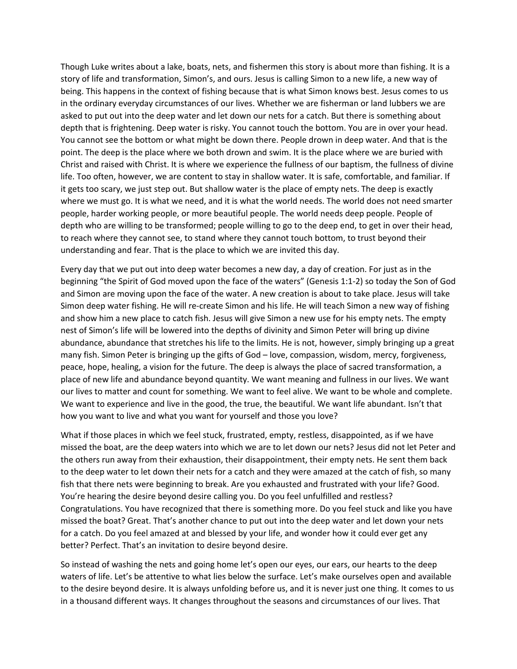Though Luke writes about a lake, boats, nets, and fishermen this story is about more than fishing. It is a story of life and transformation, Simon's, and ours. Jesus is calling Simon to a new life, a new way of being. This happens in the context of fishing because that is what Simon knows best. Jesus comes to us in the ordinary everyday circumstances of our lives. Whether we are fisherman or land lubbers we are asked to put out into the deep water and let down our nets for a catch. But there is something about depth that is frightening. Deep water is risky. You cannot touch the bottom. You are in over your head. You cannot see the bottom or what might be down there. People drown in deep water. And that is the point. The deep is the place where we both drown and swim. It is the place where we are buried with Christ and raised with Christ. It is where we experience the fullness of our baptism, the fullness of divine life. Too often, however, we are content to stay in shallow water. It is safe, comfortable, and familiar. If it gets too scary, we just step out. But shallow water is the place of empty nets. The deep is exactly where we must go. It is what we need, and it is what the world needs. The world does not need smarter people, harder working people, or more beautiful people. The world needs deep people. People of depth who are willing to be transformed; people willing to go to the deep end, to get in over their head, to reach where they cannot see, to stand where they cannot touch bottom, to trust beyond their understanding and fear. That is the place to which we are invited this day.

Every day that we put out into deep water becomes a new day, a day of creation. For just as in the beginning "the Spirit of God moved upon the face of the waters" (Genesis 1:1-2) so today the Son of God and Simon are moving upon the face of the water. A new creation is about to take place. Jesus will take Simon deep water fishing. He will re-create Simon and his life. He will teach Simon a new way of fishing and show him a new place to catch fish. Jesus will give Simon a new use for his empty nets. The empty nest of Simon's life will be lowered into the depths of divinity and Simon Peter will bring up divine abundance, abundance that stretches his life to the limits. He is not, however, simply bringing up a great many fish. Simon Peter is bringing up the gifts of God – love, compassion, wisdom, mercy, forgiveness, peace, hope, healing, a vision for the future. The deep is always the place of sacred transformation, a place of new life and abundance beyond quantity. We want meaning and fullness in our lives. We want our lives to matter and count for something. We want to feel alive. We want to be whole and complete. We want to experience and live in the good, the true, the beautiful. We want life abundant. Isn't that how you want to live and what you want for yourself and those you love?

What if those places in which we feel stuck, frustrated, empty, restless, disappointed, as if we have missed the boat, are the deep waters into which we are to let down our nets? Jesus did not let Peter and the others run away from their exhaustion, their disappointment, their empty nets. He sent them back to the deep water to let down their nets for a catch and they were amazed at the catch of fish, so many fish that there nets were beginning to break. Are you exhausted and frustrated with your life? Good. You're hearing the desire beyond desire calling you. Do you feel unfulfilled and restless? Congratulations. You have recognized that there is something more. Do you feel stuck and like you have missed the boat? Great. That's another chance to put out into the deep water and let down your nets for a catch. Do you feel amazed at and blessed by your life, and wonder how it could ever get any better? Perfect. That's an invitation to desire beyond desire.

So instead of washing the nets and going home let's open our eyes, our ears, our hearts to the deep waters of life. Let's be attentive to what lies below the surface. Let's make ourselves open and available to the desire beyond desire. It is always unfolding before us, and it is never just one thing. It comes to us in a thousand different ways. It changes throughout the seasons and circumstances of our lives. That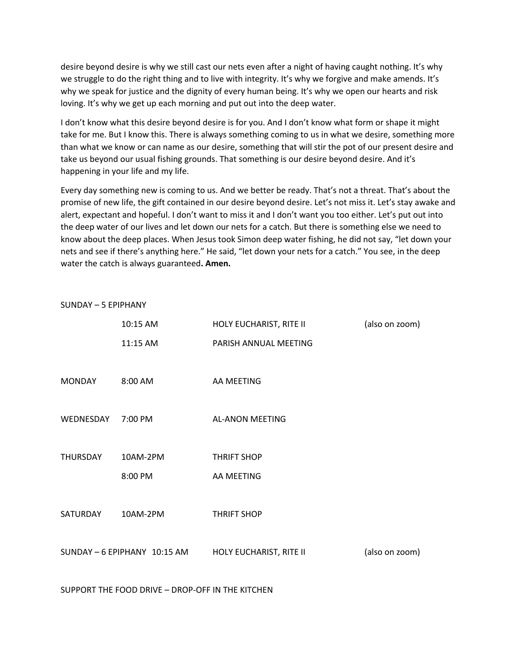desire beyond desire is why we still cast our nets even after a night of having caught nothing. It's why we struggle to do the right thing and to live with integrity. It's why we forgive and make amends. It's why we speak for justice and the dignity of every human being. It's why we open our hearts and risk loving. It's why we get up each morning and put out into the deep water.

I don't know what this desire beyond desire is for you. And I don't know what form or shape it might take for me. But I know this. There is always something coming to us in what we desire, something more than what we know or can name as our desire, something that will stir the pot of our present desire and take us beyond our usual fishing grounds. That something is our desire beyond desire. And it's happening in your life and my life.

Every day something new is coming to us. And we better be ready. That's not a threat. That's about the promise of new life, the gift contained in our desire beyond desire. Let's not miss it. Let's stay awake and alert, expectant and hopeful. I don't want to miss it and I don't want you too either. Let's put out into the deep water of our lives and let down our nets for a catch. But there is something else we need to know about the deep places. When Jesus took Simon deep water fishing, he did not say, "let down your nets and see if there's anything here." He said, "let down your nets for a catch." You see, in the deep water the catch is always guaranteed**. Amen.**

| SUNDAY - 5 EPIPHANY |                              |                         |                |  |  |
|---------------------|------------------------------|-------------------------|----------------|--|--|
|                     | 10:15 AM                     | HOLY EUCHARIST, RITE II | (also on zoom) |  |  |
|                     | 11:15 AM                     | PARISH ANNUAL MEETING   |                |  |  |
|                     |                              |                         |                |  |  |
| <b>MONDAY</b>       | 8:00 AM                      | AA MEETING              |                |  |  |
|                     |                              |                         |                |  |  |
| WEDNESDAY           | 7:00 PM                      | <b>AL-ANON MEETING</b>  |                |  |  |
|                     |                              |                         |                |  |  |
| <b>THURSDAY</b>     | 10AM-2PM                     | <b>THRIFT SHOP</b>      |                |  |  |
|                     | 8:00 PM                      | AA MEETING              |                |  |  |
|                     |                              |                         |                |  |  |
| SATURDAY            | 10AM-2PM                     | <b>THRIFT SHOP</b>      |                |  |  |
|                     |                              |                         |                |  |  |
|                     | SUNDAY - 6 EPIPHANY 10:15 AM | HOLY EUCHARIST, RITE II | (also on zoom) |  |  |

SUPPORT THE FOOD DRIVE – DROP-OFF IN THE KITCHEN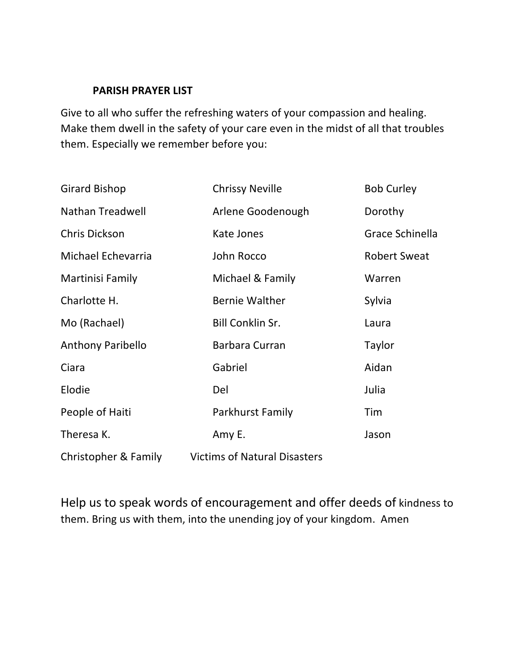# **PARISH PRAYER LIST**

Give to all who suffer the refreshing waters of your compassion and healing. Make them dwell in the safety of your care even in the midst of all that troubles them. Especially we remember before you:

| Girard Bishop            | <b>Chrissy Neville</b>              | <b>Bob Curley</b>   |
|--------------------------|-------------------------------------|---------------------|
| <b>Nathan Treadwell</b>  | Arlene Goodenough                   | Dorothy             |
| Chris Dickson            | Kate Jones                          | Grace Schinella     |
| Michael Echevarria       | John Rocco                          | <b>Robert Sweat</b> |
| Martinisi Family         | Michael & Family                    | Warren              |
| Charlotte H.             | <b>Bernie Walther</b>               | Sylvia              |
| Mo (Rachael)             | <b>Bill Conklin Sr.</b>             | Laura               |
| <b>Anthony Paribello</b> | <b>Barbara Curran</b>               | Taylor              |
| Ciara                    | Gabriel                             | Aidan               |
| Elodie                   | Del                                 | Julia               |
| People of Haiti          | Parkhurst Family                    | Tim                 |
| Theresa K.               | Amy E.                              | Jason               |
| Christopher & Family     | <b>Victims of Natural Disasters</b> |                     |

Help us to speak words of encouragement and offer deeds of kindness to them. Bring us with them, into the unending joy of your kingdom. Amen